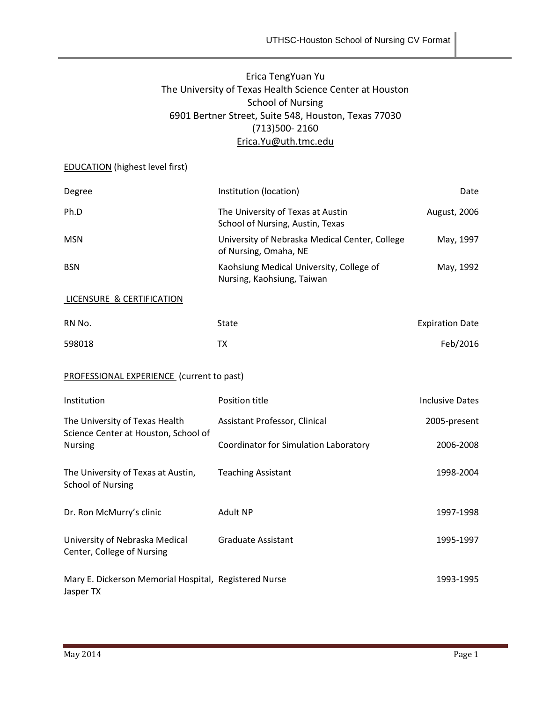# Erica TengYuan Yu The University of Texas Health Science Center at Houston School of Nursing 6901 Bertner Street, Suite 548, Houston, Texas 77030 (713)500- 2160 [Erica.Yu@uth.tmc.edu](mailto:Erica.Yu@uth.tmc.edu)

# EDUCATION (highest level first)

| Degree                                                                                   | Institution (location)                                                  | Date                   |  |  |  |  |
|------------------------------------------------------------------------------------------|-------------------------------------------------------------------------|------------------------|--|--|--|--|
| Ph.D                                                                                     | The University of Texas at Austin<br>School of Nursing, Austin, Texas   | August, 2006           |  |  |  |  |
| <b>MSN</b>                                                                               | University of Nebraska Medical Center, College<br>of Nursing, Omaha, NE | May, 1997              |  |  |  |  |
| <b>BSN</b>                                                                               | Kaohsiung Medical University, College of<br>Nursing, Kaohsiung, Taiwan  | May, 1992              |  |  |  |  |
| LICENSURE & CERTIFICATION                                                                |                                                                         |                        |  |  |  |  |
| RN No.                                                                                   | <b>State</b>                                                            | <b>Expiration Date</b> |  |  |  |  |
| 598018                                                                                   | <b>TX</b>                                                               | Feb/2016               |  |  |  |  |
| <b>PROFESSIONAL EXPERIENCE</b> (current to past)                                         |                                                                         |                        |  |  |  |  |
| Institution                                                                              | Position title                                                          | <b>Inclusive Dates</b> |  |  |  |  |
| The University of Texas Health<br>Science Center at Houston, School of<br><b>Nursing</b> | Assistant Professor, Clinical                                           | 2005-present           |  |  |  |  |
|                                                                                          | Coordinator for Simulation Laboratory                                   | 2006-2008              |  |  |  |  |
| The University of Texas at Austin,<br><b>School of Nursing</b>                           | <b>Teaching Assistant</b>                                               | 1998-2004              |  |  |  |  |
| Dr. Ron McMurry's clinic                                                                 | <b>Adult NP</b>                                                         | 1997-1998              |  |  |  |  |
| University of Nebraska Medical<br>Center, College of Nursing                             | <b>Graduate Assistant</b>                                               | 1995-1997              |  |  |  |  |
| Mary E. Dickerson Memorial Hospital, Registered Nurse<br>Jasper TX                       |                                                                         | 1993-1995              |  |  |  |  |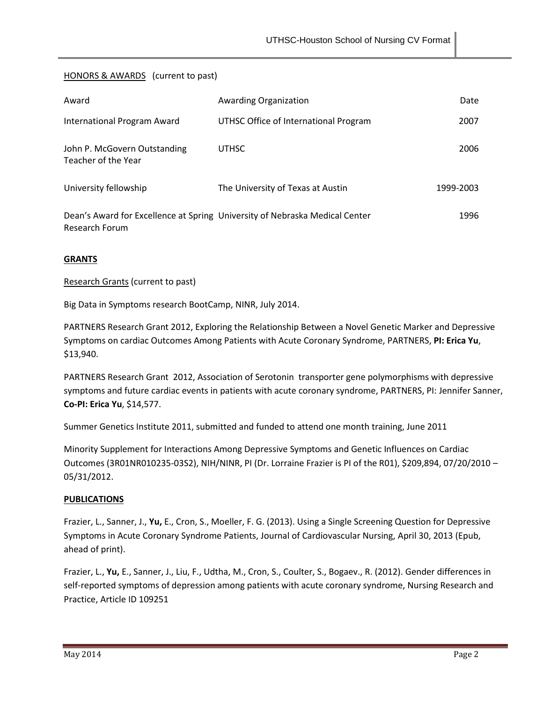# HONORS & AWARDS (current to past)

| Award                                               | Awarding Organization                                                       | Date      |
|-----------------------------------------------------|-----------------------------------------------------------------------------|-----------|
| International Program Award                         | UTHSC Office of International Program                                       | 2007      |
| John P. McGovern Outstanding<br>Teacher of the Year | <b>UTHSC</b>                                                                | 2006      |
| University fellowship                               | The University of Texas at Austin                                           | 1999-2003 |
| Research Forum                                      | Dean's Award for Excellence at Spring University of Nebraska Medical Center | 1996      |

#### **GRANTS**

#### Research Grants (current to past)

Big Data in Symptoms research BootCamp, NINR, July 2014.

PARTNERS Research Grant 2012, Exploring the Relationship Between a Novel Genetic Marker and Depressive Symptoms on cardiac Outcomes Among Patients with Acute Coronary Syndrome, PARTNERS, **PI: Erica Yu**, \$13,940.

PARTNERS Research Grant 2012, Association of Serotonin transporter gene polymorphisms with depressive symptoms and future cardiac events in patients with acute coronary syndrome, PARTNERS, PI: Jennifer Sanner, **Co-PI: Erica Yu**, \$14,577.

Summer Genetics Institute 2011, submitted and funded to attend one month training, June 2011

Minority Supplement for Interactions Among Depressive Symptoms and Genetic Influences on Cardiac Outcomes (3R01NR010235-03S2), NIH/NINR, PI (Dr. Lorraine Frazier is PI of the R01), \$209,894, 07/20/2010 – 05/31/2012.

#### **PUBLICATIONS**

Frazier, L., Sanner, J., **Yu,** E., Cron, S., Moeller, F. G. (2013). Using a Single Screening Question for Depressive Symptoms in Acute Coronary Syndrome Patients, Journal of Cardiovascular Nursing, April 30, 2013 (Epub, ahead of print).

Frazier, L., **Yu,** E., Sanner, J., Liu, F., Udtha, M., Cron, S., Coulter, S., Bogaev., R. (2012). Gender differences in self-reported symptoms of depression among patients with acute coronary syndrome, Nursing Research and Practice, Article ID 109251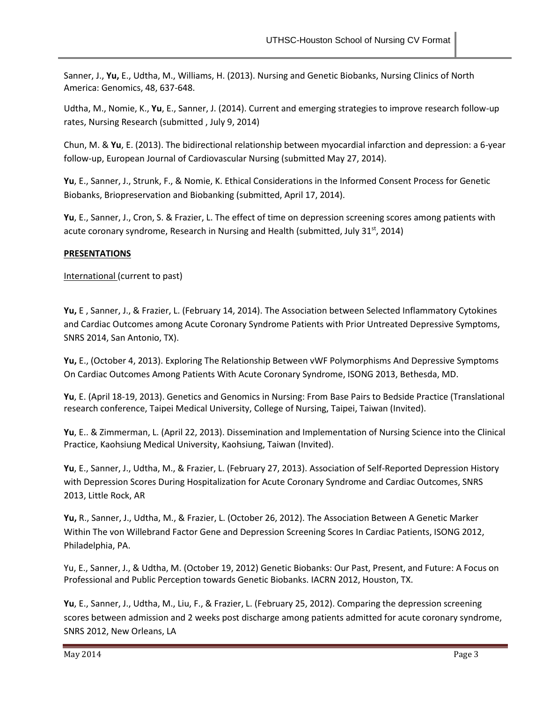Sanner, J., **Yu,** E., Udtha, M., Williams, H. (2013). Nursing and Genetic Biobanks, Nursing Clinics of North America: Genomics, 48, 637-648.

Udtha, M., Nomie, K., **Yu**, E., Sanner, J. (2014). Current and emerging strategies to improve research follow-up rates, Nursing Research (submitted , July 9, 2014)

Chun, M. & **Yu**, E. (2013). The bidirectional relationship between myocardial infarction and depression: a 6-year follow-up, European Journal of Cardiovascular Nursing (submitted May 27, 2014).

**Yu**, E., Sanner, J., Strunk, F., & Nomie, K. Ethical Considerations in the Informed Consent Process for Genetic Biobanks, Briopreservation and Biobanking (submitted, April 17, 2014).

**Yu**, E., Sanner, J., Cron, S. & Frazier, L. The effect of time on depression screening scores among patients with acute coronary syndrome, Research in Nursing and Health (submitted, July 31<sup>st</sup>, 2014)

# **PRESENTATIONS**

International (current to past)

**Yu,** E , Sanner, J., & Frazier, L. (February 14, 2014). The Association between Selected Inflammatory Cytokines and Cardiac Outcomes among Acute Coronary Syndrome Patients with Prior Untreated Depressive Symptoms, SNRS 2014, San Antonio, TX).

**Yu,** E., (October 4, 2013). Exploring The Relationship Between vWF Polymorphisms And Depressive Symptoms On Cardiac Outcomes Among Patients With Acute Coronary Syndrome, ISONG 2013, Bethesda, MD.

**Yu**, E. (April 18-19, 2013). Genetics and Genomics in Nursing: From Base Pairs to Bedside Practice (Translational research conference, Taipei Medical University, College of Nursing, Taipei, Taiwan (Invited).

**Yu**, E.. & Zimmerman, L. (April 22, 2013). Dissemination and Implementation of Nursing Science into the Clinical Practice, Kaohsiung Medical University, Kaohsiung, Taiwan (Invited).

**Yu**, E., Sanner, J., Udtha, M., & Frazier, L. (February 27, 2013). Association of Self-Reported Depression History with Depression Scores During Hospitalization for Acute Coronary Syndrome and Cardiac Outcomes, SNRS 2013, Little Rock, AR

**Yu,** R., Sanner, J., Udtha, M., & Frazier, L. (October 26, 2012). The Association Between A Genetic Marker Within The von Willebrand Factor Gene and Depression Screening Scores In Cardiac Patients, ISONG 2012, Philadelphia, PA.

Yu, E., Sanner, J., & Udtha, M. (October 19, 2012) Genetic Biobanks: Our Past, Present, and Future: A Focus on Professional and Public Perception towards Genetic Biobanks. IACRN 2012, Houston, TX.

**Yu**, E., Sanner, J., Udtha, M., Liu, F., & Frazier, L. (February 25, 2012). Comparing the depression screening scores between admission and 2 weeks post discharge among patients admitted for acute coronary syndrome, SNRS 2012, New Orleans, LA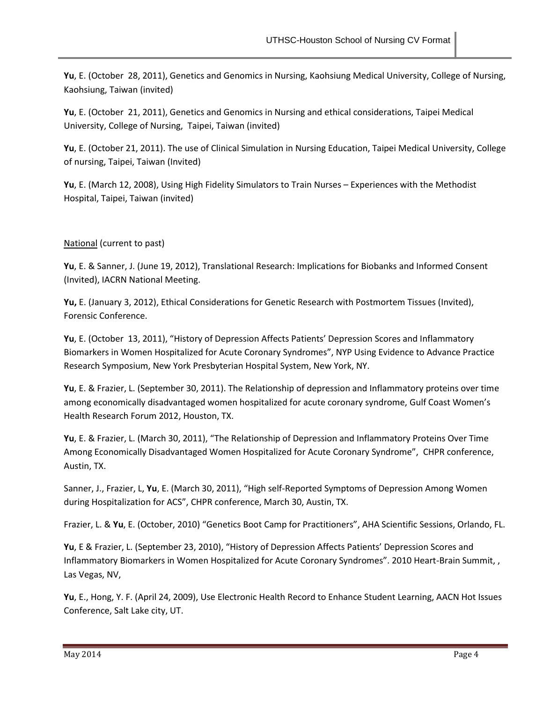**Yu**, E. (October 28, 2011), Genetics and Genomics in Nursing, Kaohsiung Medical University, College of Nursing, Kaohsiung, Taiwan (invited)

**Yu**, E. (October 21, 2011), Genetics and Genomics in Nursing and ethical considerations, Taipei Medical University, College of Nursing, Taipei, Taiwan (invited)

**Yu**, E. (October 21, 2011). The use of Clinical Simulation in Nursing Education, Taipei Medical University, College of nursing, Taipei, Taiwan (Invited)

**Yu**, E. (March 12, 2008), Using High Fidelity Simulators to Train Nurses – Experiences with the Methodist Hospital, Taipei, Taiwan (invited)

# National (current to past)

**Yu**, E. & Sanner, J. (June 19, 2012), Translational Research: Implications for Biobanks and Informed Consent (Invited), IACRN National Meeting.

**Yu,** E. (January 3, 2012), Ethical Considerations for Genetic Research with Postmortem Tissues (Invited), Forensic Conference.

**Yu**, E. (October 13, 2011), "History of Depression Affects Patients' Depression Scores and Inflammatory Biomarkers in Women Hospitalized for Acute Coronary Syndromes", NYP Using Evidence to Advance Practice Research Symposium, New York Presbyterian Hospital System, New York, NY.

**Yu**, E. & Frazier, L. (September 30, 2011). The Relationship of depression and Inflammatory proteins over time among economically disadvantaged women hospitalized for acute coronary syndrome, Gulf Coast Women's Health Research Forum 2012, Houston, TX.

**Yu**, E. & Frazier, L. (March 30, 2011), "The Relationship of Depression and Inflammatory Proteins Over Time Among Economically Disadvantaged Women Hospitalized for Acute Coronary Syndrome", CHPR conference, Austin, TX.

Sanner, J., Frazier, L, **Yu**, E. (March 30, 2011), "High self-Reported Symptoms of Depression Among Women during Hospitalization for ACS", CHPR conference, March 30, Austin, TX.

Frazier, L. & **Yu**, E. (October, 2010) "Genetics Boot Camp for Practitioners", AHA Scientific Sessions, Orlando, FL.

**Yu**, E & Frazier, L. (September 23, 2010), "History of Depression Affects Patients' Depression Scores and Inflammatory Biomarkers in Women Hospitalized for Acute Coronary Syndromes". 2010 Heart-Brain Summit, , Las Vegas, NV,

**Yu**, E., Hong, Y. F. (April 24, 2009), Use Electronic Health Record to Enhance Student Learning, AACN Hot Issues Conference, Salt Lake city, UT.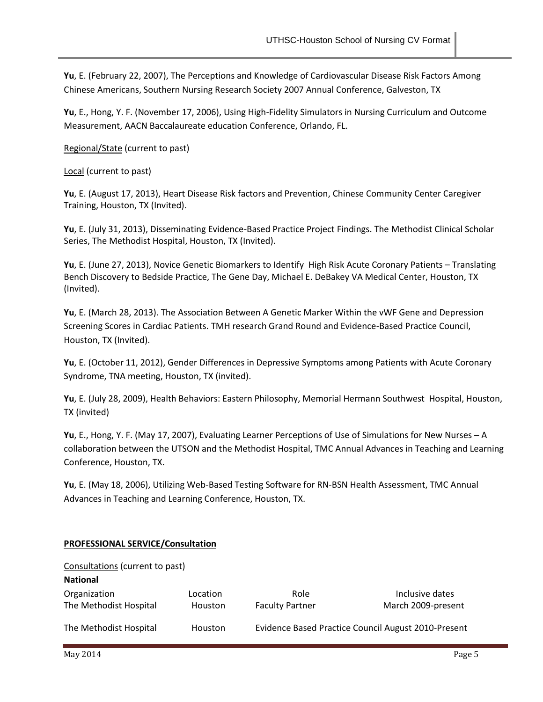**Yu**, E. (February 22, 2007), The Perceptions and Knowledge of Cardiovascular Disease Risk Factors Among Chinese Americans, Southern Nursing Research Society 2007 Annual Conference, Galveston, TX

**Yu**, E., Hong, Y. F. (November 17, 2006), Using High-Fidelity Simulators in Nursing Curriculum and Outcome Measurement, AACN Baccalaureate education Conference, Orlando, FL.

Regional/State (current to past)

Local (current to past)

**Yu**, E. (August 17, 2013), Heart Disease Risk factors and Prevention, Chinese Community Center Caregiver Training, Houston, TX (Invited).

**Yu**, E. (July 31, 2013), Disseminating Evidence-Based Practice Project Findings. The Methodist Clinical Scholar Series, The Methodist Hospital, Houston, TX (Invited).

**Yu**, E. (June 27, 2013), Novice Genetic Biomarkers to Identify High Risk Acute Coronary Patients – Translating Bench Discovery to Bedside Practice, The Gene Day, Michael E. DeBakey VA Medical Center, Houston, TX (Invited).

**Yu**, E. (March 28, 2013). The Association Between A Genetic Marker Within the vWF Gene and Depression Screening Scores in Cardiac Patients. TMH research Grand Round and Evidence-Based Practice Council, Houston, TX (Invited).

**Yu**, E. (October 11, 2012), Gender Differences in Depressive Symptoms among Patients with Acute Coronary Syndrome, TNA meeting, Houston, TX (invited).

**Yu**, E. (July 28, 2009), Health Behaviors: Eastern Philosophy, Memorial Hermann Southwest Hospital, Houston, TX (invited)

**Yu**, E., Hong, Y. F. (May 17, 2007), Evaluating Learner Perceptions of Use of Simulations for New Nurses – A collaboration between the UTSON and the Methodist Hospital, TMC Annual Advances in Teaching and Learning Conference, Houston, TX.

**Yu**, E. (May 18, 2006), Utilizing Web-Based Testing Software for RN-BSN Health Assessment, TMC Annual Advances in Teaching and Learning Conference, Houston, TX.

# **PROFESSIONAL SERVICE/Consultation**

| Consultations (current to past)        |                     |                                |                                                     |  |  |  |  |
|----------------------------------------|---------------------|--------------------------------|-----------------------------------------------------|--|--|--|--|
| <b>National</b>                        |                     |                                |                                                     |  |  |  |  |
| Organization<br>The Methodist Hospital | Location<br>Houston | Role<br><b>Faculty Partner</b> | Inclusive dates<br>March 2009-present               |  |  |  |  |
| The Methodist Hospital                 | Houston             |                                | Evidence Based Practice Council August 2010-Present |  |  |  |  |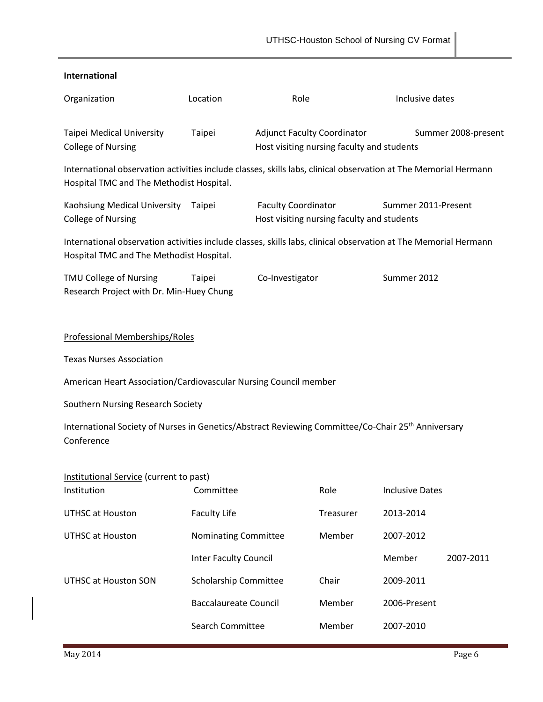| International                                                                                                                                               |                              |                                                                                  |           |                        |           |  |  |
|-------------------------------------------------------------------------------------------------------------------------------------------------------------|------------------------------|----------------------------------------------------------------------------------|-----------|------------------------|-----------|--|--|
| Organization                                                                                                                                                | Location                     | Role                                                                             |           | Inclusive dates        |           |  |  |
| <b>Taipei Medical University</b><br><b>College of Nursing</b>                                                                                               | Taipei                       | <b>Adjunct Faculty Coordinator</b><br>Host visiting nursing faculty and students |           | Summer 2008-present    |           |  |  |
| International observation activities include classes, skills labs, clinical observation at The Memorial Hermann<br>Hospital TMC and The Methodist Hospital. |                              |                                                                                  |           |                        |           |  |  |
| Kaohsiung Medical University<br><b>College of Nursing</b>                                                                                                   | Taipei                       | <b>Faculty Coordinator</b><br>Host visiting nursing faculty and students         |           | Summer 2011-Present    |           |  |  |
| International observation activities include classes, skills labs, clinical observation at The Memorial Hermann<br>Hospital TMC and The Methodist Hospital. |                              |                                                                                  |           |                        |           |  |  |
| TMU College of Nursing<br>Research Project with Dr. Min-Huey Chung                                                                                          | Taipei                       | Co-Investigator                                                                  |           | Summer 2012            |           |  |  |
| Professional Memberships/Roles                                                                                                                              |                              |                                                                                  |           |                        |           |  |  |
| <b>Texas Nurses Association</b>                                                                                                                             |                              |                                                                                  |           |                        |           |  |  |
| American Heart Association/Cardiovascular Nursing Council member                                                                                            |                              |                                                                                  |           |                        |           |  |  |
| Southern Nursing Research Society                                                                                                                           |                              |                                                                                  |           |                        |           |  |  |
| International Society of Nurses in Genetics/Abstract Reviewing Committee/Co-Chair 25 <sup>th</sup> Anniversary<br>Conference                                |                              |                                                                                  |           |                        |           |  |  |
| Institutional Service (current to past)<br>Institution                                                                                                      | Committee                    |                                                                                  | Role      | <b>Inclusive Dates</b> |           |  |  |
| <b>UTHSC at Houston</b>                                                                                                                                     | <b>Faculty Life</b>          |                                                                                  | Treasurer | 2013-2014              |           |  |  |
| <b>UTHSC at Houston</b>                                                                                                                                     | Nominating Committee         |                                                                                  | Member    | 2007-2012              |           |  |  |
|                                                                                                                                                             | <b>Inter Faculty Council</b> |                                                                                  |           | Member                 | 2007-2011 |  |  |
| UTHSC at Houston SON                                                                                                                                        | <b>Scholarship Committee</b> |                                                                                  | Chair     | 2009-2011              |           |  |  |
|                                                                                                                                                             | <b>Baccalaureate Council</b> |                                                                                  | Member    | 2006-Present           |           |  |  |
|                                                                                                                                                             | Search Committee             |                                                                                  | Member    | 2007-2010              |           |  |  |